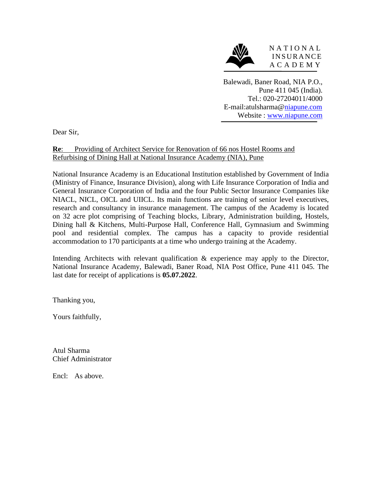

Balewadi, Baner Road, NIA P.O., Pune 411 045 (India). Tel.: 020-27204011/4000 E-mail:atulsharma[@niapune.com](mailto:niapune@vsnl.com) Website : [www.niapune.com](http://www.niapune.com/)

Dear Sir,

### **Re**: Providing of Architect Service for Renovation of 66 nos Hostel Rooms and Refurbising of Dining Hall at National Insurance Academy (NIA), Pune

National Insurance Academy is an Educational Institution established by Government of India (Ministry of Finance, Insurance Division), along with Life Insurance Corporation of India and General Insurance Corporation of India and the four Public Sector Insurance Companies like NIACL, NICL, OICL and UIICL. Its main functions are training of senior level executives, research and consultancy in insurance management. The campus of the Academy is located on 32 acre plot comprising of Teaching blocks, Library, Administration building, Hostels, Dining hall & Kitchens, Multi-Purpose Hall, Conference Hall, Gymnasium and Swimming pool and residential complex. The campus has a capacity to provide residential accommodation to 170 participants at a time who undergo training at the Academy.

Intending Architects with relevant qualification & experience may apply to the Director, National Insurance Academy, Balewadi, Baner Road, NIA Post Office, Pune 411 045. The last date for receipt of applications is **05.07.2022**.

Thanking you,

Yours faithfully,

Atul Sharma Chief Administrator

Encl: As above.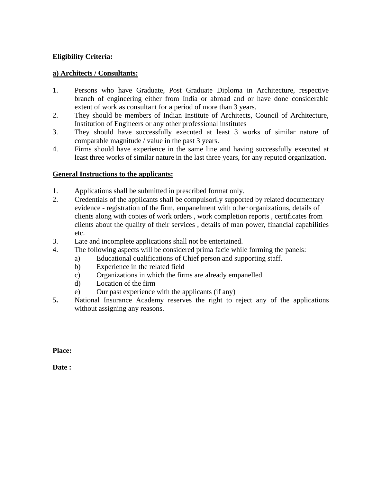#### **Eligibility Criteria:**

#### **a) Architects / Consultants:**

- 1. Persons who have Graduate, Post Graduate Diploma in Architecture, respective branch of engineering either from India or abroad and or have done considerable extent of work as consultant for a period of more than 3 years.
- 2. They should be members of Indian Institute of Architects, Council of Architecture, Institution of Engineers or any other professional institutes
- 3. They should have successfully executed at least 3 works of similar nature of comparable magnitude / value in the past 3 years.
- 4. Firms should have experience in the same line and having successfully executed at least three works of similar nature in the last three years, for any reputed organization.

#### **General Instructions to the applicants:**

- 1. Applications shall be submitted in prescribed format only.
- 2. Credentials of the applicants shall be compulsorily supported by related documentary evidence - registration of the firm, empanelment with other organizations, details of clients along with copies of work orders , work completion reports , certificates from clients about the quality of their services , details of man power, financial capabilities etc.
- 3. Late and incomplete applications shall not be entertained.
- 4. The following aspects will be considered prima facie while forming the panels:
	- a) Educational qualifications of Chief person and supporting staff.
		- b) Experience in the related field
		- c) Organizations in which the firms are already empanelled
		- d) Location of the firm
		- e) Our past experience with the applicants (if any)
- 5**.** National Insurance Academy reserves the right to reject any of the applications without assigning any reasons.

**Place:**

**Date :**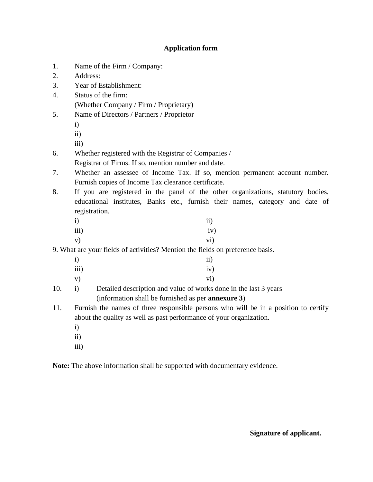### **Application form**

- 1. Name of the Firm / Company:
- 2. Address:
- 3. Year of Establishment:
- 4. Status of the firm: (Whether Company / Firm / Proprietary)
- 5. Name of Directors / Partners / Proprietor
	- i)
	- ii)
	- iii)
- 6. Whether registered with the Registrar of Companies /
	- Registrar of Firms. If so, mention number and date.
- 7. Whether an assessee of Income Tax. If so, mention permanent account number. Furnish copies of Income Tax clearance certificate.
- 8. If you are registered in the panel of the other organizations, statutory bodies, educational institutes, Banks etc., furnish their names, category and date of registration.

| $\mathbf{i}$  | ii) |
|---------------|-----|
| iii)          | iv) |
| $\mathbf{v})$ | vi) |

9. What are your fields of activities? Mention the fields on preference basis.

| $\mathbf{i}$  | $\rm ii)$ |
|---------------|-----------|
| iii)          | iv)       |
| $\mathbf{v})$ | vi)       |

- 10. i) Detailed description and value of works done in the last 3 years (information shall be furnished as per **annexure 3**)
- 11. Furnish the names of three responsible persons who will be in a position to certify about the quality as well as past performance of your organization.
	- i)
	- ii)
	- iii)

**Note:** The above information shall be supported with documentary evidence.

**Signature of applicant.**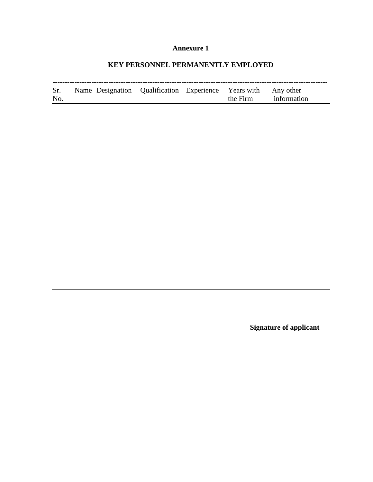# **KEY PERSONNEL PERMANENTLY EMPLOYED**

| Sr.<br>No. | Name Designation Qualification Experience Years with Any other |  | the Firm information |
|------------|----------------------------------------------------------------|--|----------------------|

**Signature of applicant**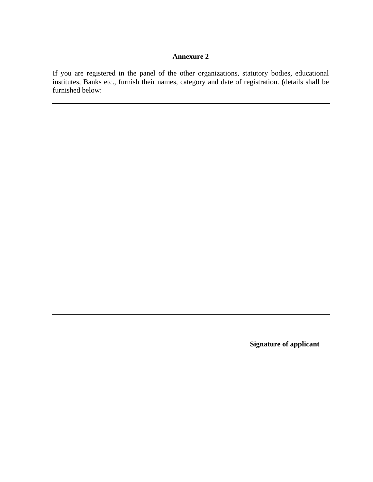If you are registered in the panel of the other organizations, statutory bodies, educational institutes, Banks etc., furnish their names, category and date of registration. (details shall be furnished below:

**Signature of applicant**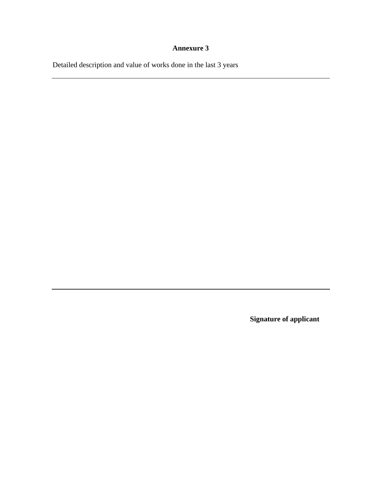Detailed description and value of works done in the last 3 years

**Signature of applicant**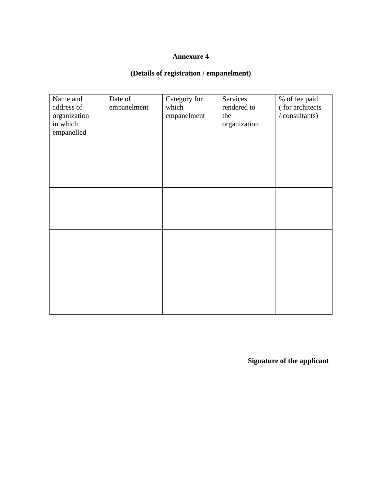# **(Details of registration / empanelment)**

| Name and<br>address of<br>organization<br>in which<br>empanelled | Date of<br>empanelment | Category for<br>which<br>empanelment | Services<br>rendered to<br>the<br>organization | % of fee paid<br>(for architects<br>/ consultants) |
|------------------------------------------------------------------|------------------------|--------------------------------------|------------------------------------------------|----------------------------------------------------|
|                                                                  |                        |                                      |                                                |                                                    |
|                                                                  |                        |                                      |                                                |                                                    |
|                                                                  |                        |                                      |                                                |                                                    |
|                                                                  |                        |                                      |                                                |                                                    |

**Signature of the applicant**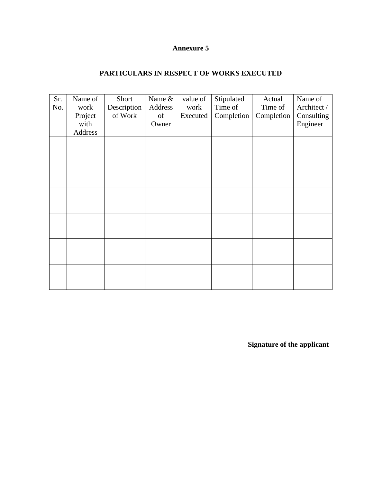## **PARTICULARS IN RESPECT OF WORKS EXECUTED**

| Sr.<br>No. | Name of<br>work | Short<br>Description | Name &<br>Address | value of<br>work | Stipulated<br>Time of | Actual<br>Time of | Name of<br>Architect / |
|------------|-----------------|----------------------|-------------------|------------------|-----------------------|-------------------|------------------------|
|            | Project         | of Work              | of                | Executed         | Completion            | Completion        | Consulting             |
|            | with            |                      | Owner             |                  |                       |                   | Engineer               |
|            | Address         |                      |                   |                  |                       |                   |                        |
|            |                 |                      |                   |                  |                       |                   |                        |
|            |                 |                      |                   |                  |                       |                   |                        |
|            |                 |                      |                   |                  |                       |                   |                        |
|            |                 |                      |                   |                  |                       |                   |                        |
|            |                 |                      |                   |                  |                       |                   |                        |
|            |                 |                      |                   |                  |                       |                   |                        |
|            |                 |                      |                   |                  |                       |                   |                        |
|            |                 |                      |                   |                  |                       |                   |                        |
|            |                 |                      |                   |                  |                       |                   |                        |
|            |                 |                      |                   |                  |                       |                   |                        |
|            |                 |                      |                   |                  |                       |                   |                        |
|            |                 |                      |                   |                  |                       |                   |                        |

**Signature of the applicant**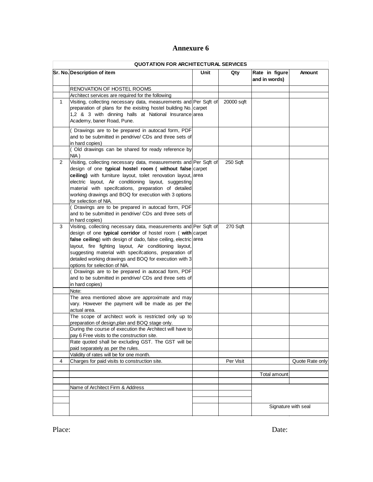|                | <b>QUOTATION FOR ARCHITECTURAL SERVICES</b>                                                        |      |            |                                 |                     |  |  |
|----------------|----------------------------------------------------------------------------------------------------|------|------------|---------------------------------|---------------------|--|--|
|                | Sr. No. Description of item                                                                        | Unit | Qty        | Rate in figure<br>and in words) | Amount              |  |  |
|                | RENOVATION OF HOSTEL ROOMS                                                                         |      |            |                                 |                     |  |  |
|                | Architect services are required for the following                                                  |      |            |                                 |                     |  |  |
| $\mathbf{1}$   | Visiting, collecting necessary data, measurements and Per Sqft of                                  |      | 20000 sqft |                                 |                     |  |  |
|                | preparation of plans for the exisitng hostel building No. carpet                                   |      |            |                                 |                     |  |  |
|                | 1,2 & 3 with dinning halls at National Insurance area                                              |      |            |                                 |                     |  |  |
|                | Academy, baner Road, Pune.                                                                         |      |            |                                 |                     |  |  |
|                | ( Drawings are to be prepared in autocad form, PDF                                                 |      |            |                                 |                     |  |  |
|                | and to be submitted in pendrive/ CDs and three sets of                                             |      |            |                                 |                     |  |  |
|                | in hard copies)                                                                                    |      |            |                                 |                     |  |  |
|                | (Old drawings can be shared for ready reference by                                                 |      |            |                                 |                     |  |  |
|                | NIA)                                                                                               |      |            |                                 |                     |  |  |
| $\overline{2}$ | Visiting, collecting necessary data, measurements and Per Sqft of                                  |      | 250 Sqft   |                                 |                     |  |  |
|                | design of one typical hostel room ( without false carpet                                           |      |            |                                 |                     |  |  |
|                | ceiling) with furniture layout, toilet renovation layout, area                                     |      |            |                                 |                     |  |  |
|                | electric layout, Air conditioning layout, suggesting                                               |      |            |                                 |                     |  |  |
|                | material with specifcations, preparation of detailed                                               |      |            |                                 |                     |  |  |
|                | working drawings and BOQ for execution with 3 options                                              |      |            |                                 |                     |  |  |
|                | for selection of NIA.                                                                              |      |            |                                 |                     |  |  |
|                | ( Drawings are to be prepared in autocad form, PDF                                                 |      |            |                                 |                     |  |  |
|                | and to be submitted in pendrive/ CDs and three sets of                                             |      |            |                                 |                     |  |  |
|                | in hard copies)                                                                                    |      |            |                                 |                     |  |  |
| 3              | Visiting, collecting necessary data, measurements and Per Sqft of                                  |      | 270 Sqft   |                                 |                     |  |  |
|                | design of one typical corridor of hostel room (with carpet                                         |      |            |                                 |                     |  |  |
|                | false ceiling) with design of dado, false ceiling, electric area                                   |      |            |                                 |                     |  |  |
|                | layout, fire fighting layout, Air conditioning layout,                                             |      |            |                                 |                     |  |  |
|                | suggesting material with specifcations, preparation of                                             |      |            |                                 |                     |  |  |
|                | detailed working drawings and BOQ for execution with 3                                             |      |            |                                 |                     |  |  |
|                | options for selection of NIA.                                                                      |      |            |                                 |                     |  |  |
|                | ( Drawings are to be prepared in autocad form, PDF                                                 |      |            |                                 |                     |  |  |
|                | and to be submitted in pendrive/ CDs and three sets of                                             |      |            |                                 |                     |  |  |
|                | in hard copies)                                                                                    |      |            |                                 |                     |  |  |
|                | Note:                                                                                              |      |            |                                 |                     |  |  |
|                | The area mentioned above are approximate and may                                                   |      |            |                                 |                     |  |  |
|                | vary. However the payment will be made as per the                                                  |      |            |                                 |                     |  |  |
|                | actual area.                                                                                       |      |            |                                 |                     |  |  |
|                | The scope of architect work is restricted only up to                                               |      |            |                                 |                     |  |  |
|                | preparation of design, plan and BOQ stage only.                                                    |      |            |                                 |                     |  |  |
|                | During the course of execution the Architect will have to                                          |      |            |                                 |                     |  |  |
|                | pay 6 Free visits to the construction site.<br>Rate quoted shall be excluding GST. The GST will be |      |            |                                 |                     |  |  |
|                | paid separately as per the rules.                                                                  |      |            |                                 |                     |  |  |
|                | Validity of rates will be for one month.                                                           |      |            |                                 |                     |  |  |
| 4              | Charges for paid visits to construction site.                                                      |      | Per Visit  |                                 | Quote Rate only     |  |  |
|                |                                                                                                    |      |            |                                 |                     |  |  |
|                |                                                                                                    |      |            | Total amount                    |                     |  |  |
|                |                                                                                                    |      |            |                                 |                     |  |  |
|                | Name of Architect Firm & Address                                                                   |      |            |                                 |                     |  |  |
|                |                                                                                                    |      |            |                                 |                     |  |  |
|                |                                                                                                    |      |            |                                 |                     |  |  |
|                |                                                                                                    |      |            |                                 | Signature with seal |  |  |
|                |                                                                                                    |      |            |                                 |                     |  |  |

Place: Date: